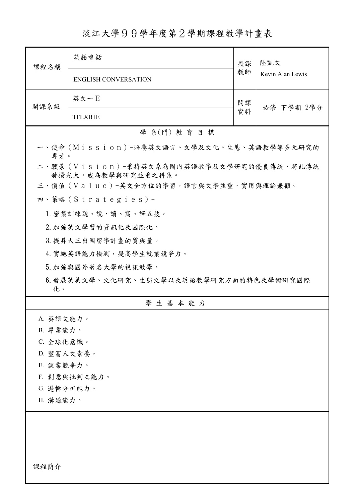## 淡江大學99學年度第2學期課程教學計畫表

| 課程名稱                                                            | 英語會話                        | 授課                     | 陸凱文<br>Kevin Alan Lewis |  |  |  |
|-----------------------------------------------------------------|-----------------------------|------------------------|-------------------------|--|--|--|
|                                                                 | <b>ENGLISH CONVERSATION</b> | 教師                     |                         |  |  |  |
| 開課系級                                                            | 英文一E                        | 開課<br>必修 下學期 2學分<br>資料 |                         |  |  |  |
|                                                                 | TFLXB1E                     |                        |                         |  |  |  |
| 學 系(門) 教育目標                                                     |                             |                        |                         |  |  |  |
| 一、使命 (Mission) -培養英文語言、文學及文化、生態、英語教學等多元研究的<br>專才。               |                             |                        |                         |  |  |  |
| 二、願景 (Vision)-秉持英文系為國內英語教學及文學研究的優良傳統,將此傳統<br>發揚光大,成為教學與研究並重之科系。 |                             |                        |                         |  |  |  |
| 三、價值 (Value)-英文全方位的學習,語言與文學並重,實用與理論兼顧。                          |                             |                        |                         |  |  |  |
|                                                                 | 四、策略(Strategies)-           |                        |                         |  |  |  |
|                                                                 | 1. 密集訓練聽、說、讀、寫、譯五技。         |                        |                         |  |  |  |
|                                                                 | 2. 加強英文學習的資訊化及國際化。          |                        |                         |  |  |  |
|                                                                 | 3. 提昇大三出國留學計畫的質與量。          |                        |                         |  |  |  |
|                                                                 | 4. 實施英語能力檢測,提高學生就業競爭力。      |                        |                         |  |  |  |
|                                                                 | 5. 加強與國外著名大學的視訊教學。          |                        |                         |  |  |  |
| 6.發展英美文學、文化研究、生態文學以及英語教學研究方面的特色及學術研究國際<br>化。                    |                             |                        |                         |  |  |  |
|                                                                 | 學生基本能力                      |                        |                         |  |  |  |
| A. 英語文能力。                                                       |                             |                        |                         |  |  |  |
| B. 專業能力。                                                        |                             |                        |                         |  |  |  |
| C. 全球化意識。                                                       |                             |                        |                         |  |  |  |
| D. 豐富人文素養。                                                      |                             |                        |                         |  |  |  |
| E. 就業競爭力。                                                       |                             |                        |                         |  |  |  |
| F. 創意與批判之能力。                                                    |                             |                        |                         |  |  |  |
| G. 邏輯分析能力。<br>H. 溝通能力。                                          |                             |                        |                         |  |  |  |
|                                                                 |                             |                        |                         |  |  |  |
|                                                                 |                             |                        |                         |  |  |  |
|                                                                 |                             |                        |                         |  |  |  |
|                                                                 |                             |                        |                         |  |  |  |
| 課程簡介                                                            |                             |                        |                         |  |  |  |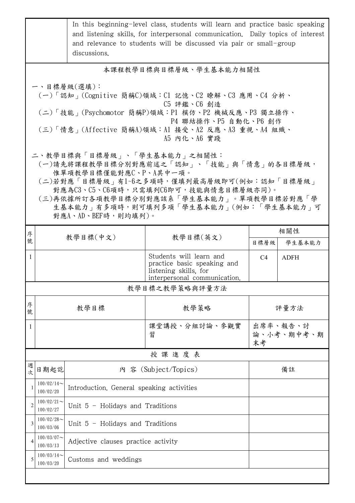|                                                                                                                                                                                                                                                                                                    |                            | In this beginning-level class, students will learn and practice basic speaking<br>and listening skills, for interpersonal communication. Daily topics of interest<br>and relevance to students will be discussed via pair or small-group<br>discussions. |                                                                                                                 |                              |             |  |  |  |  |
|----------------------------------------------------------------------------------------------------------------------------------------------------------------------------------------------------------------------------------------------------------------------------------------------------|----------------------------|----------------------------------------------------------------------------------------------------------------------------------------------------------------------------------------------------------------------------------------------------------|-----------------------------------------------------------------------------------------------------------------|------------------------------|-------------|--|--|--|--|
|                                                                                                                                                                                                                                                                                                    |                            |                                                                                                                                                                                                                                                          |                                                                                                                 |                              |             |  |  |  |  |
| 本課程教學目標與目標層級、學生基本能力相關性                                                                                                                                                                                                                                                                             |                            |                                                                                                                                                                                                                                                          |                                                                                                                 |                              |             |  |  |  |  |
| 一、目標層級(選填):<br>(一)「認知」(Cognitive 簡稱C)領域:C1 記憶、C2 瞭解、C3 應用、C4 分析、<br>C5 評鑑、C6 創造<br>(二)「技能 <sub>」</sub> (Psychomotor 簡稱P)領域:P1 模仿、P2 機械反應、P3 獨立操作、<br>P4 聯結操作、P5 自動化、P6 創作<br>(三)「情意」(Affective 簡稱A)領域:A1 接受、A2 反應、A3 重視、A4 組織、<br>A5 内化、A6 實踐                                                      |                            |                                                                                                                                                                                                                                                          |                                                                                                                 |                              |             |  |  |  |  |
| 二、教學目標與「目標層級」、「學生基本能力」之相關性:<br>(一)請先將課程教學目標分別對應前述之「認知」、「技能」與「情意」的各目標層級,<br>惟單項教學目標僅能對應C、P、A其中一項。<br>(二)若對應「目標層級」有1~6之多項時,僅填列最高層級即可(例如:認知「目標層級」<br>對應為C3、C5、C6項時,只需填列C6即可,技能與情意目標層級亦同)。<br>(三)再依據所訂各項教學目標分別對應該系「學生基本能力」。單項教學目標若對應「學<br>生基本能力」有多項時,則可填列多項「學生基本能力」(例如:「學生基本能力」可<br>對應A、AD、BEF時,則均填列)。 |                            |                                                                                                                                                                                                                                                          |                                                                                                                 |                              |             |  |  |  |  |
| 序                                                                                                                                                                                                                                                                                                  |                            | 教學目標(中文)                                                                                                                                                                                                                                                 | 教學目標(英文)                                                                                                        |                              | 相關性         |  |  |  |  |
| 號                                                                                                                                                                                                                                                                                                  |                            |                                                                                                                                                                                                                                                          |                                                                                                                 | 目標層級                         | 學生基本能力      |  |  |  |  |
| 1                                                                                                                                                                                                                                                                                                  |                            |                                                                                                                                                                                                                                                          | Students will learn and<br>practice basic speaking and<br>listening skills, for<br>interpersonal communication. | C4                           | <b>ADFH</b> |  |  |  |  |
|                                                                                                                                                                                                                                                                                                    |                            |                                                                                                                                                                                                                                                          | 教學目標之教學策略與評量方法                                                                                                  |                              |             |  |  |  |  |
| 序<br>號                                                                                                                                                                                                                                                                                             |                            | 教學目標                                                                                                                                                                                                                                                     | 教學策略                                                                                                            | 評量方法                         |             |  |  |  |  |
| 1                                                                                                                                                                                                                                                                                                  |                            |                                                                                                                                                                                                                                                          | 课堂講授、分組討論、參觀實<br>習                                                                                              | 出席率、報告、討<br>論、小考、期中考、期<br>末考 |             |  |  |  |  |
| 授課進度表                                                                                                                                                                                                                                                                                              |                            |                                                                                                                                                                                                                                                          |                                                                                                                 |                              |             |  |  |  |  |
| 週<br>次                                                                                                                                                                                                                                                                                             | 日期起訖                       | 內 容 (Subject/Topics)                                                                                                                                                                                                                                     |                                                                                                                 | 備註                           |             |  |  |  |  |
| 1                                                                                                                                                                                                                                                                                                  | $100/02/14$ ~<br>100/02/20 | Introduction. General speaking activities                                                                                                                                                                                                                |                                                                                                                 |                              |             |  |  |  |  |
| $\overline{2}$                                                                                                                                                                                                                                                                                     | $100/02/21$ ~<br>100/02/27 | Unit $5$ - Holidays and Traditions                                                                                                                                                                                                                       |                                                                                                                 |                              |             |  |  |  |  |
| 3                                                                                                                                                                                                                                                                                                  | $100/02/28$ ~<br>100/03/06 | Unit $5$ - Holidays and Traditions                                                                                                                                                                                                                       |                                                                                                                 |                              |             |  |  |  |  |
| $\overline{4}$                                                                                                                                                                                                                                                                                     | $100/03/07$ ~<br>100/03/13 | Adjective clauses practice activity                                                                                                                                                                                                                      |                                                                                                                 |                              |             |  |  |  |  |
| 5                                                                                                                                                                                                                                                                                                  | $100/03/14$ ~<br>100/03/20 | Customs and weddings                                                                                                                                                                                                                                     |                                                                                                                 |                              |             |  |  |  |  |
|                                                                                                                                                                                                                                                                                                    |                            |                                                                                                                                                                                                                                                          |                                                                                                                 |                              |             |  |  |  |  |